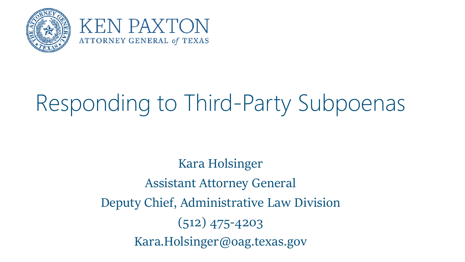



# Responding to Third-Party Subpoenas

Kara Holsinger Assistant Attorney General Deputy Chief, Administrative Law Division (512) 475-4203 Kara.Holsinger@oag.texas.gov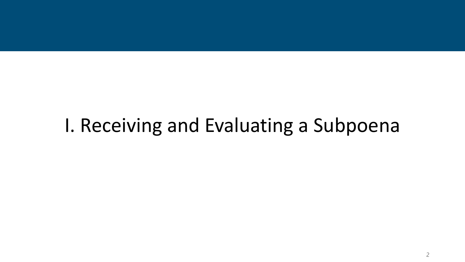#### I. Receiving and Evaluating a Subpoena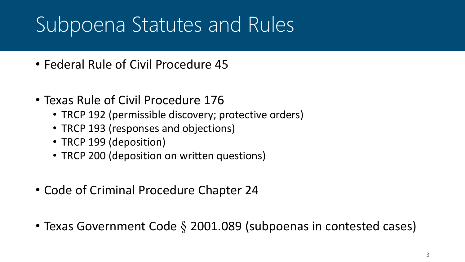### Subpoena Statutes and Rules

- Federal Rule of Civil Procedure 45
- Texas Rule of Civil Procedure 176
	- TRCP 192 (permissible discovery; protective orders)
	- TRCP 193 (responses and objections)
	- TRCP 199 (deposition)
	- TRCP 200 (deposition on written questions)
- Code of Criminal Procedure Chapter 24
- Texas Government Code § 2001.089 (subpoenas in contested cases)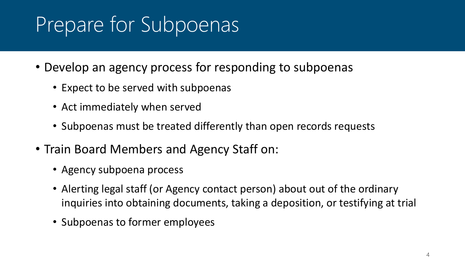## Prepare for Subpoenas

- Develop an agency process for responding to subpoenas
	- Expect to be served with subpoenas
	- Act immediately when served
	- Subpoenas must be treated differently than open records requests
- Train Board Members and Agency Staff on:
	- Agency subpoena process
	- Alerting legal staff (or Agency contact person) about out of the ordinary inquiries into obtaining documents, taking a deposition, or testifying at trial
	- Subpoenas to former employees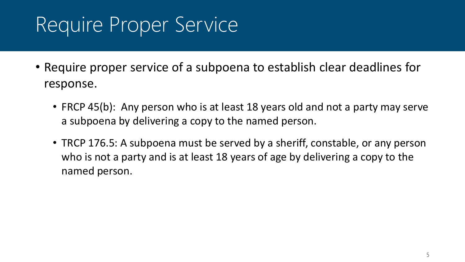## Require Proper Service

- Require proper service of a subpoena to establish clear deadlines for response.
	- FRCP 45(b): Any person who is at least 18 years old and not a party may serve a subpoena by delivering a copy to the named person.
	- TRCP 176.5: A subpoena must be served by a sheriff, constable, or any person who is not a party and is at least 18 years of age by delivering a copy to the named person.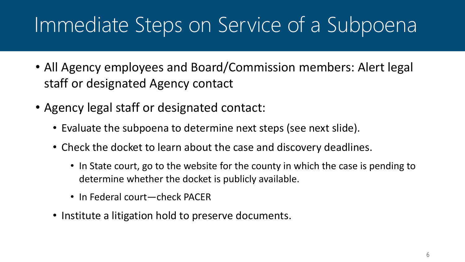#### Immediate Steps on Service of a Subpoena

- All Agency employees and Board/Commission members: Alert legal staff or designated Agency contact
- Agency legal staff or designated contact:
	- Evaluate the subpoena to determine next steps (see next slide).
	- Check the docket to learn about the case and discovery deadlines.
		- In State court, go to the website for the county in which the case is pending to determine whether the docket is publicly available.
		- In Federal court—check PACER
	- Institute a litigation hold to preserve documents.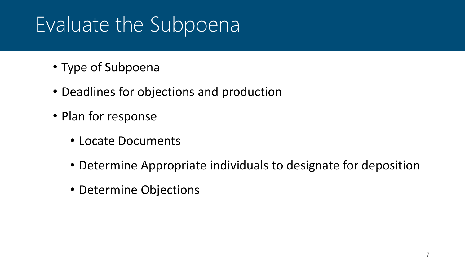## Evaluate the Subpoena

- Type of Subpoena
- Deadlines for objections and production
- Plan for response
	- Locate Documents
	- Determine Appropriate individuals to designate for deposition
	- Determine Objections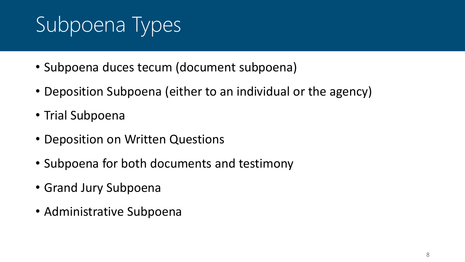# Subpoena Types

- Subpoena duces tecum (document subpoena)
- Deposition Subpoena (either to an individual or the agency)
- Trial Subpoena
- Deposition on Written Questions
- Subpoena for both documents and testimony
- Grand Jury Subpoena
- Administrative Subpoena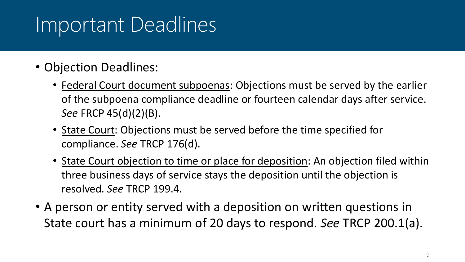#### Important Deadlines

- Objection Deadlines:
	- Federal Court document subpoenas: Objections must be served by the earlier of the subpoena compliance deadline or fourteen calendar days after service. *See* FRCP 45(d)(2)(B).
	- State Court: Objections must be served before the time specified for compliance. *See* TRCP 176(d).
	- State Court objection to time or place for deposition: An objection filed within three business days of service stays the deposition until the objection is resolved. *See* TRCP 199.4.
- A person or entity served with a deposition on written questions in State court has a minimum of 20 days to respond. *See* TRCP 200.1(a).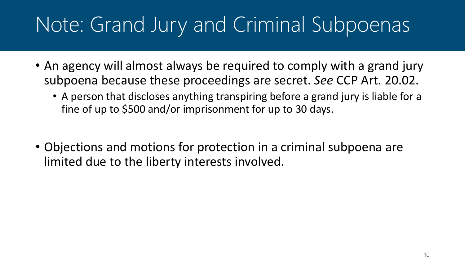## Note: Grand Jury and Criminal Subpoenas

- An agency will almost always be required to comply with a grand jury subpoena because these proceedings are secret. *See* CCP Art. 20.02.
	- A person that discloses anything transpiring before a grand jury is liable for a fine of up to \$500 and/or imprisonment for up to 30 days.
- Objections and motions for protection in a criminal subpoena are limited due to the liberty interests involved.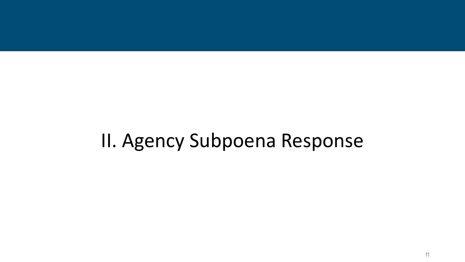#### II. Agency Subpoena Response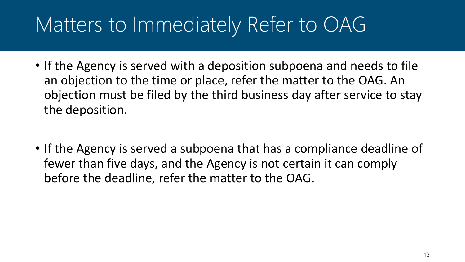### Matters to Immediately Refer to OAG

- If the Agency is served with a deposition subpoena and needs to file an objection to the time or place, refer the matter to the OAG. An objection must be filed by the third business day after service to stay the deposition.
- If the Agency is served a subpoena that has a compliance deadline of fewer than five days, and the Agency is not certain it can comply before the deadline, refer the matter to the OAG.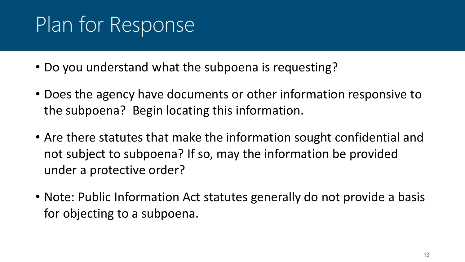## Plan for Response

- Do you understand what the subpoena is requesting?
- Does the agency have documents or other information responsive to the subpoena? Begin locating this information.
- Are there statutes that make the information sought confidential and not subject to subpoena? If so, may the information be provided under a protective order?
- Note: Public Information Act statutes generally do not provide a basis for objecting to a subpoena.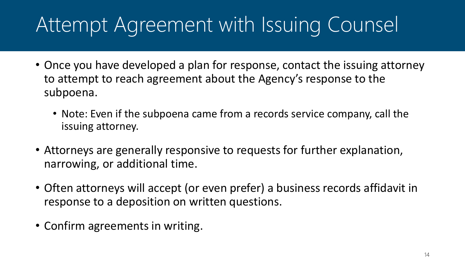## Attempt Agreement with Issuing Counsel

- Once you have developed a plan for response, contact the issuing attorney to attempt to reach agreement about the Agency's response to the subpoena.
	- Note: Even if the subpoena came from a records service company, call the issuing attorney.
- Attorneys are generally responsive to requests for further explanation, narrowing, or additional time.
- Often attorneys will accept (or even prefer) a business records affidavit in response to a deposition on written questions.
- Confirm agreements in writing.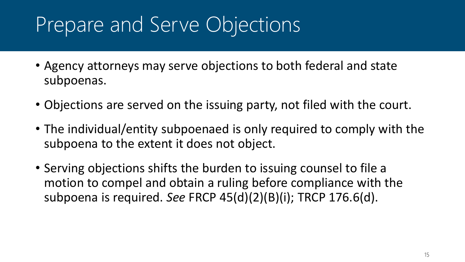## Prepare and Serve Objections

- Agency attorneys may serve objections to both federal and state subpoenas.
- Objections are served on the issuing party, not filed with the court.
- The individual/entity subpoenaed is only required to comply with the subpoena to the extent it does not object.
- Serving objections shifts the burden to issuing counsel to file a motion to compel and obtain a ruling before compliance with the subpoena is required. *See* FRCP 45(d)(2)(B)(i); TRCP 176.6(d).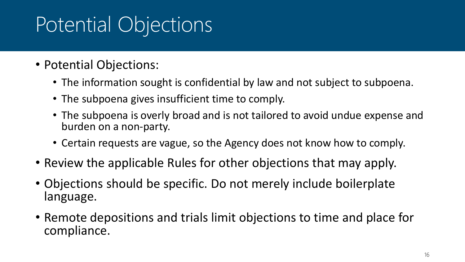## Potential Objections

- Potential Objections:
	- The information sought is confidential by law and not subject to subpoena.
	- The subpoena gives insufficient time to comply.
	- The subpoena is overly broad and is not tailored to avoid undue expense and burden on a non-party.
	- Certain requests are vague, so the Agency does not know how to comply.
- Review the applicable Rules for other objections that may apply.
- Objections should be specific. Do not merely include boilerplate language.
- Remote depositions and trials limit objections to time and place for compliance.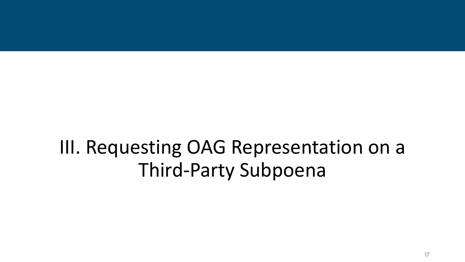#### III. Requesting OAG Representation on a Third-Party Subpoena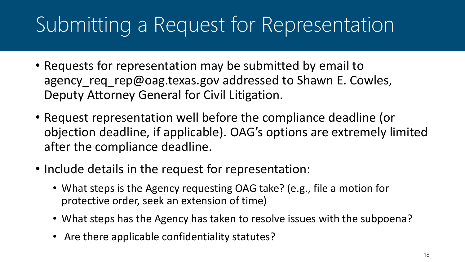## Submitting a Request for Representation

- Requests for representation may be submitted by email to agency\_req\_rep@oag.texas.gov addressed to Shawn E. Cowles, Deputy Attorney General for Civil Litigation.
- Request representation well before the compliance deadline (or objection deadline, if applicable). OAG's options are extremely limited after the compliance deadline.
- Include details in the request for representation:
	- What steps is the Agency requesting OAG take? (e.g., file a motion for protective order, seek an extension of time)
	- What steps has the Agency has taken to resolve issues with the subpoena?
	- Are there applicable confidentiality statutes?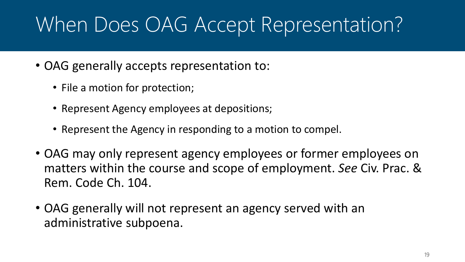### When Does OAG Accept Representation?

- OAG generally accepts representation to:
	- File a motion for protection;
	- Represent Agency employees at depositions;
	- Represent the Agency in responding to a motion to compel.
- OAG may only represent agency employees or former employees on matters within the course and scope of employment. *See* Civ. Prac. & Rem. Code Ch. 104.
- OAG generally will not represent an agency served with an administrative subpoena.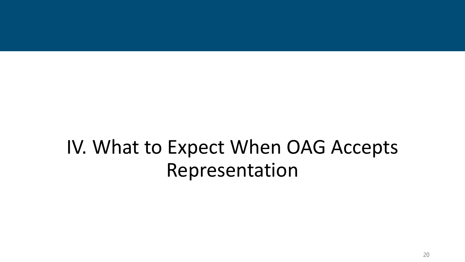#### IV. What to Expect When OAG Accepts Representation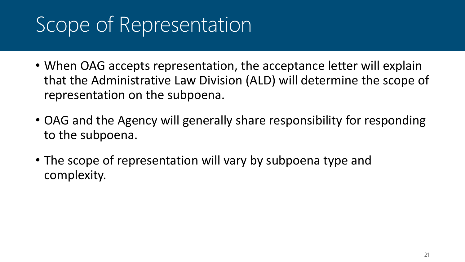## Scope of Representation

- When OAG accepts representation, the acceptance letter will explain that the Administrative Law Division (ALD) will determine the scope of representation on the subpoena.
- OAG and the Agency will generally share responsibility for responding to the subpoena.
- The scope of representation will vary by subpoena type and complexity.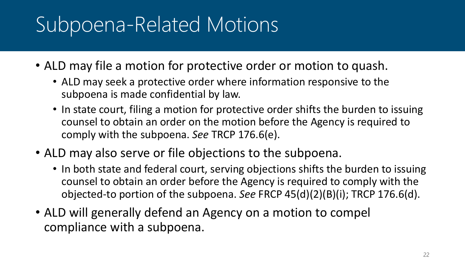## Subpoena-Related Motions

- ALD may file a motion for protective order or motion to quash.
	- ALD may seek a protective order where information responsive to the subpoena is made confidential by law.
	- In state court, filing a motion for protective order shifts the burden to issuing counsel to obtain an order on the motion before the Agency is required to comply with the subpoena. *See* TRCP 176.6(e).
- ALD may also serve or file objections to the subpoena.
	- In both state and federal court, serving objections shifts the burden to issuing counsel to obtain an order before the Agency is required to comply with the objected-to portion of the subpoena. *See* FRCP 45(d)(2)(B)(i); TRCP 176.6(d).
- ALD will generally defend an Agency on a motion to compel compliance with a subpoena.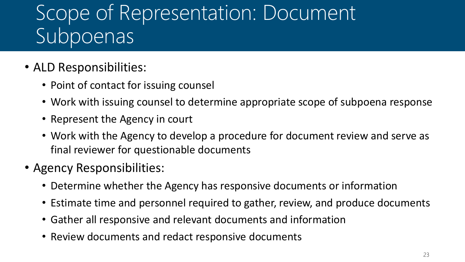### Scope of Representation: Document Subpoenas

- ALD Responsibilities:
	- Point of contact for issuing counsel
	- Work with issuing counsel to determine appropriate scope of subpoena response
	- Represent the Agency in court
	- Work with the Agency to develop a procedure for document review and serve as final reviewer for questionable documents
- Agency Responsibilities:
	- Determine whether the Agency has responsive documents or information
	- Estimate time and personnel required to gather, review, and produce documents
	- Gather all responsive and relevant documents and information
	- Review documents and redact responsive documents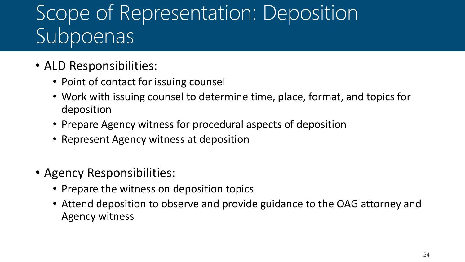### Scope of Representation: Deposition Subpoenas

- ALD Responsibilities:
	- Point of contact for issuing counsel
	- Work with issuing counsel to determine time, place, format, and topics for deposition
	- Prepare Agency witness for procedural aspects of deposition
	- Represent Agency witness at deposition
- Agency Responsibilities:
	- Prepare the witness on deposition topics
	- Attend deposition to observe and provide guidance to the OAG attorney and Agency witness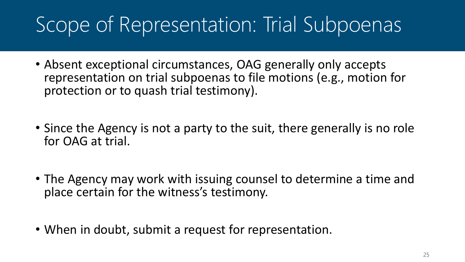## Scope of Representation: Trial Subpoenas

- Absent exceptional circumstances, OAG generally only accepts representation on trial subpoenas to file motions (e.g., motion for protection or to quash trial testimony).
- Since the Agency is not a party to the suit, there generally is no role for OAG at trial.
- The Agency may work with issuing counsel to determine a time and place certain for the witness's testimony.
- When in doubt, submit a request for representation.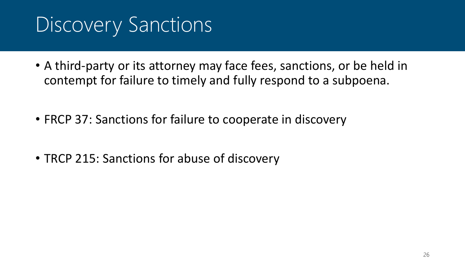### Discovery Sanctions

- A third-party or its attorney may face fees, sanctions, or be held in contempt for failure to timely and fully respond to a subpoena.
- FRCP 37: Sanctions for failure to cooperate in discovery
- TRCP 215: Sanctions for abuse of discovery